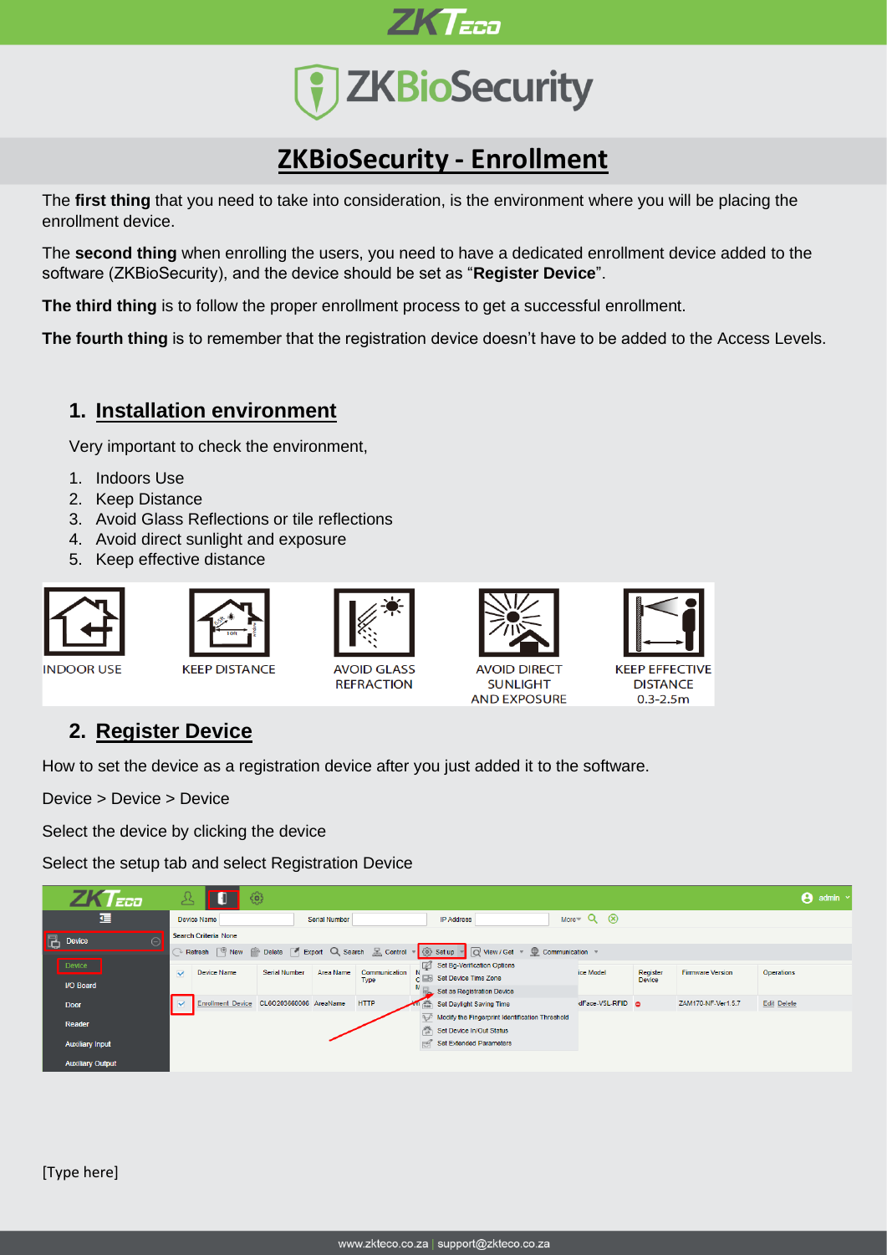



# **ZKBioSecurity - Enrollment**

The **first thing** that you need to take into consideration, is the environment where you will be placing the enrollment device.

The **second thing** when enrolling the users, you need to have a dedicated enrollment device added to the software (ZKBioSecurity), and the device should be set as "**Register Device**".

**The third thing** is to follow the proper enrollment process to get a successful enrollment.

**The fourth thing** is to remember that the registration device doesn't have to be added to the Access Levels.

## **1. Installation environment**

Very important to check the environment,

- 1. Indoors Use
- 2. Keep Distance
- 3. Avoid Glass Reflections or tile reflections
- 4. Avoid direct sunlight and exposure
- 5. Keep effective distance







**KEEP DISTANCE** 



**AVOID GLASS REFRACTION** 



**SUNLIGHT AND EXPOSURE** 



## **2. Register Device**

How to set the device as a registration device after you just added it to the software.

Device > Device > Device

Select the device by clicking the device

Select the setup tab and select Registration Device

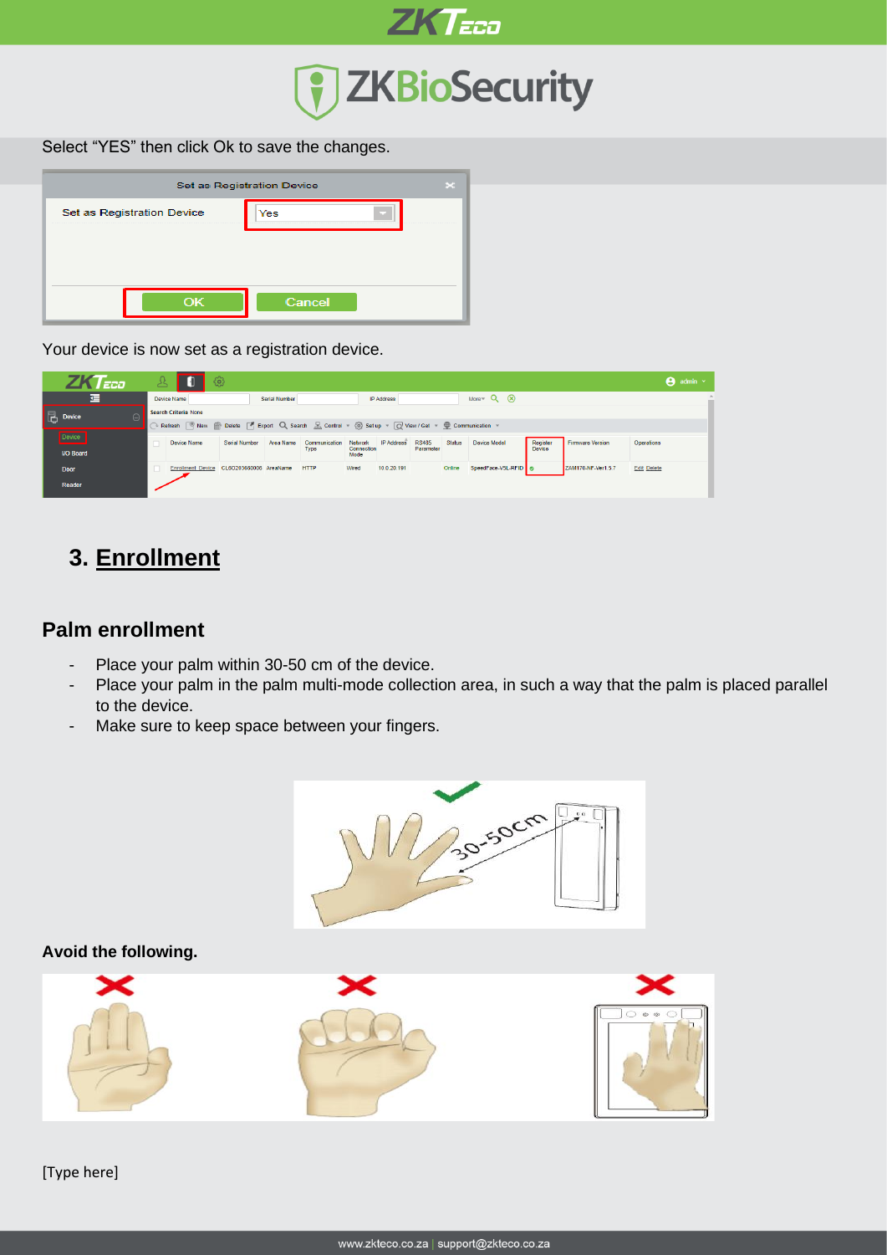

Select "YES" then click Ok to save the changes.

| Set as Registration Device |  |  |  |  |  |  |  |  |
|----------------------------|--|--|--|--|--|--|--|--|
| Yes                        |  |  |  |  |  |  |  |  |
|                            |  |  |  |  |  |  |  |  |
|                            |  |  |  |  |  |  |  |  |
| Cancel                     |  |  |  |  |  |  |  |  |
|                            |  |  |  |  |  |  |  |  |

Your device is now set as a registration device.

| l aca                      |                                                                                             | ঞ             |               |               |                    |                   |              |               |                    |               |                    |                    | $\Theta$ admin $\sim$ |
|----------------------------|---------------------------------------------------------------------------------------------|---------------|---------------|---------------|--------------------|-------------------|--------------|---------------|--------------------|---------------|--------------------|--------------------|-----------------------|
| 彊                          | Device Name                                                                                 |               | Serial Number |               |                    | <b>IP Address</b> |              |               | More $Q(x)$        |               |                    |                    |                       |
| $\blacksquare$ Device<br>Θ | Search Criteria None                                                                        |               |               |               |                    |                   |              |               |                    |               |                    |                    |                       |
|                            | Refresh PNew Collete   Export Q Search B Control = @ Setup = Q View / Get = Communication = |               |               |               |                    |                   |              |               |                    |               |                    |                    |                       |
| Device                     | Device Name                                                                                 | Serial Number | Area Name     | Communication | Network            | <b>IP Address</b> | <b>RS485</b> | <b>Status</b> | Device Model       | Register      | Firmware Version   | Operations         |                       |
| <b>I/O Board</b>           |                                                                                             |               |               | Type          | Connection<br>Mode |                   | Parameter    |               |                    | <b>Device</b> |                    |                    |                       |
| <b>Door</b>                | Enrollment Device CL6O203660006 AreaName                                                    |               |               | <b>HTTP</b>   | Wired              | 10.0.20.191       |              | Online        | SpeedFace-V5L-RFID |               | ZAM170-NF-Ver1.5.7 | <b>Edit Delete</b> |                       |
| Reader                     |                                                                                             |               |               |               |                    |                   |              |               |                    |               |                    |                    |                       |

# **3. Enrollment**

### **Palm enrollment**

- Place your palm within 30-50 cm of the device.
- Place your palm in the palm multi-mode collection area, in such a way that the palm is placed parallel to the device.
- Make sure to keep space between your fingers.



[Type here]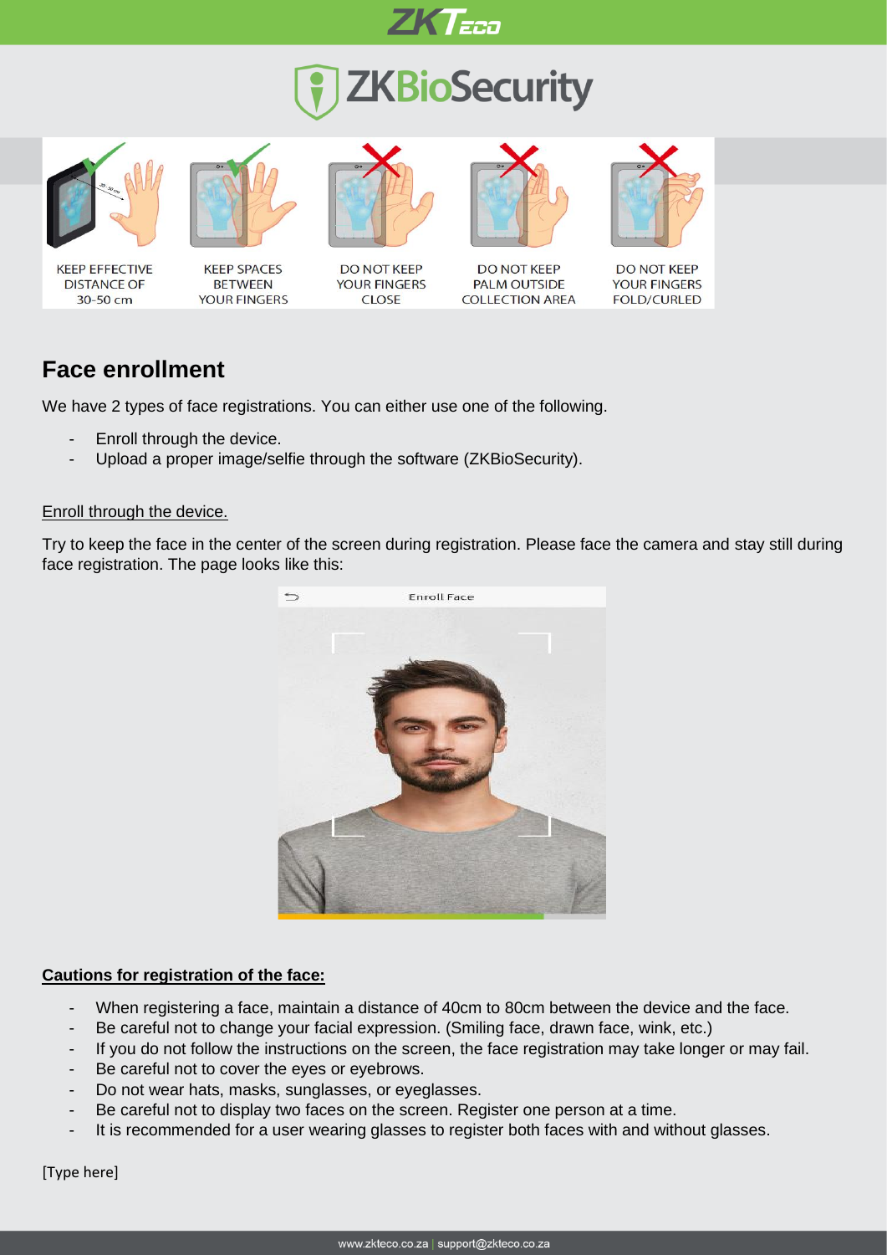

# **ZKBioSecurity**









**DO NOT KEEP** YOUR FINGERS **CLOSE** 



**DO NOT KEEP PALM OUTSIDE COLLECTION AREA** 



**DO NOT KEEP YOUR FINGERS FOLD/CURLED** 

## **Face enrollment**

We have 2 types of face registrations. You can either use one of the following.

- Enroll through the device.
- Upload a proper image/selfie through the software (ZKBioSecurity).

#### Enroll through the device.

Try to keep the face in the center of the screen during registration. Please face the camera and stay still during face registration. The page looks like this:



#### **Cautions for registration of the face:**

- When registering a face, maintain a distance of 40cm to 80cm between the device and the face.
- Be careful not to change your facial expression. (Smiling face, drawn face, wink, etc.)
- If you do not follow the instructions on the screen, the face registration may take longer or may fail.
- Be careful not to cover the eyes or eyebrows.
- Do not wear hats, masks, sunglasses, or eyeglasses.
- Be careful not to display two faces on the screen. Register one person at a time.
- It is recommended for a user wearing glasses to register both faces with and without glasses.

[Type here]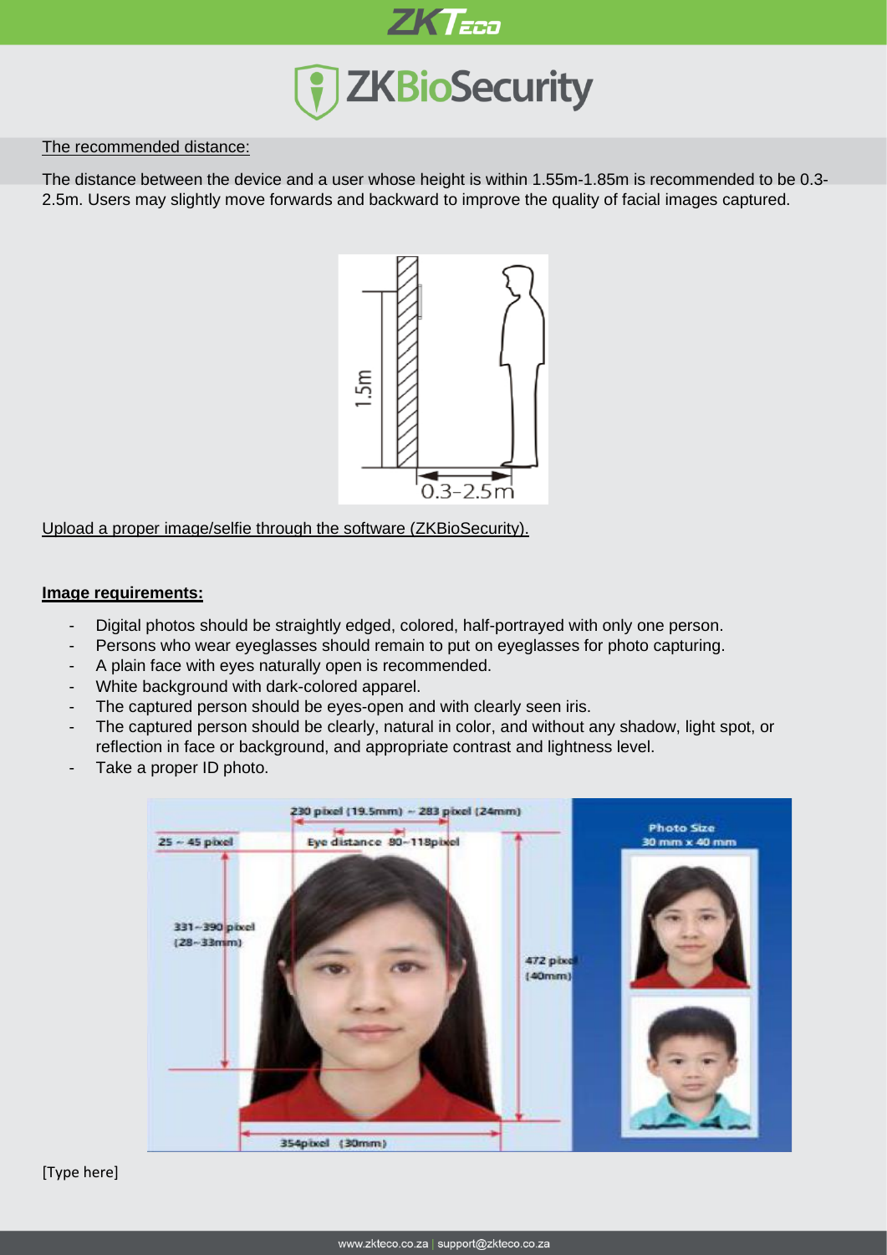

#### The recommended distance:

The distance between the device and a user whose height is within 1.55m-1.85m is recommended to be 0.3- 2.5m. Users may slightly move forwards and backward to improve the quality of facial images captured.



Upload a proper image/selfie through the software (ZKBioSecurity).

#### **Image requirements:**

- Digital photos should be straightly edged, colored, half-portrayed with only one person.
- Persons who wear eyeglasses should remain to put on eyeglasses for photo capturing.
- A plain face with eyes naturally open is recommended.
- White background with dark-colored apparel.
- The captured person should be eyes-open and with clearly seen iris.
- The captured person should be clearly, natural in color, and without any shadow, light spot, or reflection in face or background, and appropriate contrast and lightness level.
- Take a proper ID photo.

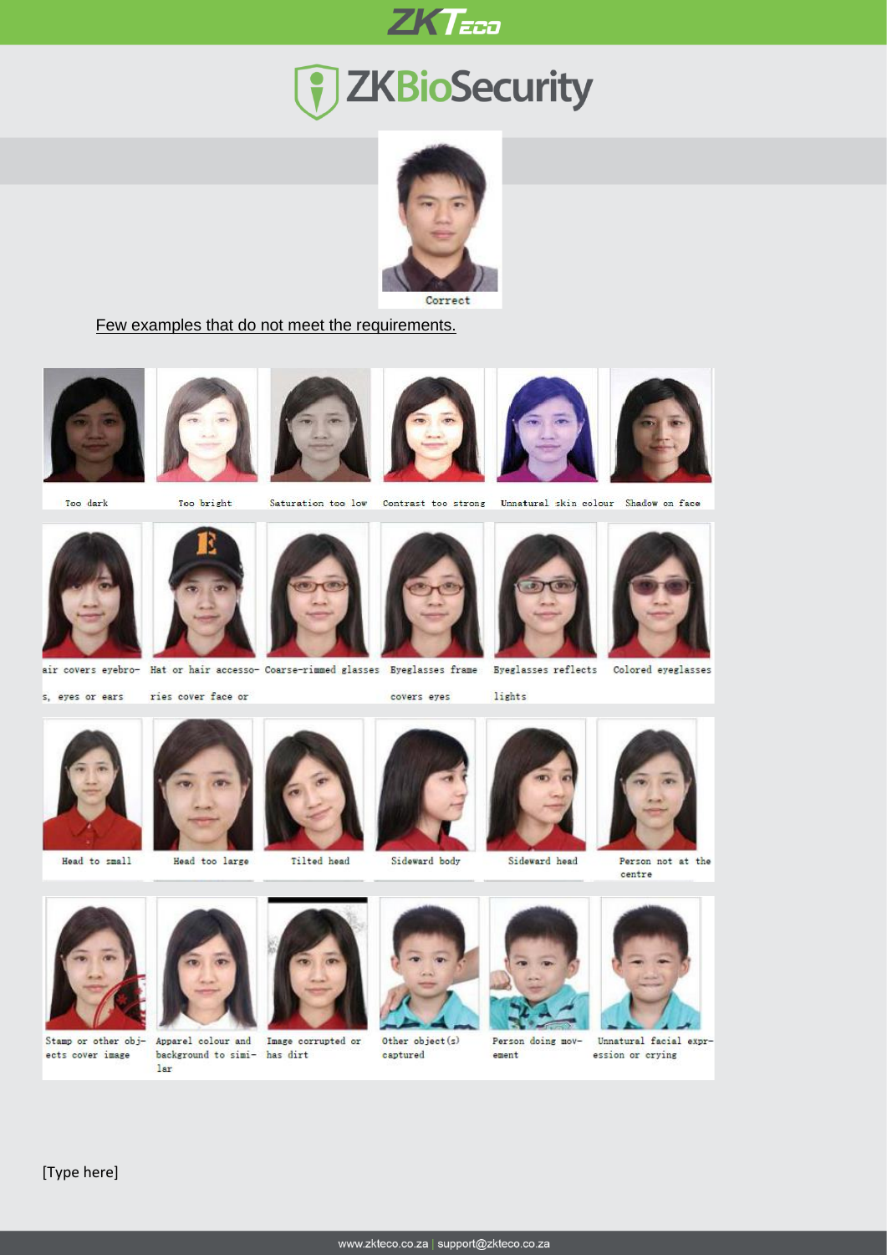

# 7 ZKBioSecurity



#### Few examples that do not meet the requirements.













Too dark

Too bright

Saturation too low

Contrast too strong Unnatural skin colour Shadow on face



Hat or hair accesso- Coarse-rimmed glasses Byeglasses frame

lights





air covers eyebro-

s, eyes or ears

ries cover face or

Head too large

Tilted head



covers eyes

Sideward body

Sideward head



Person not at the centre



ects cover image



lar

Stamp or other obj- Apparel colour and Image corrupted or background to simi- has dirt



Other object(s) captured



Person doing movement



Unnatural facial expression or crying









www.zkteco.co.za | support@zkteco.co.za

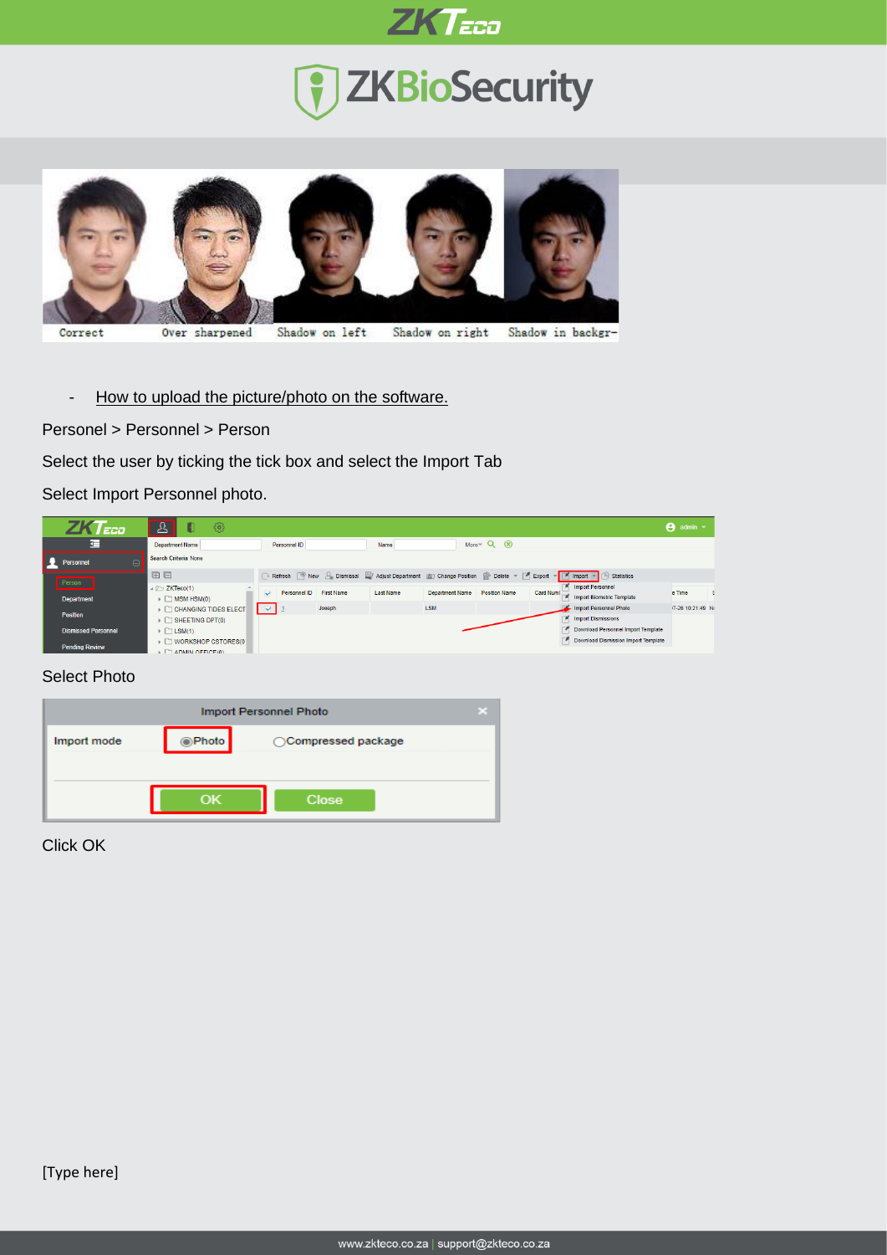

# **T** ZKBioSecurity



- How to upload the picture/photo on the software.

Personel > Personnel > Person

Select the user by ticking the tick box and select the Import Tab

Select Import Personnel photo.

| $\sqrt{EED}$               | ঞ<br>И                                                                                                                                                                                                                                                   |                                                                                                                                                                              | $\Theta$ admin $\sim$ |
|----------------------------|----------------------------------------------------------------------------------------------------------------------------------------------------------------------------------------------------------------------------------------------------------|------------------------------------------------------------------------------------------------------------------------------------------------------------------------------|-----------------------|
| 彊                          | <b>Department Name</b>                                                                                                                                                                                                                                   | More $Q(x)$<br>Personnel ID<br>Name                                                                                                                                          |                       |
| Personnel                  | Search Criteria None                                                                                                                                                                                                                                     |                                                                                                                                                                              |                       |
| Person                     | 田日                                                                                                                                                                                                                                                       | Refresh   + New & Dismissal   Adjust Department   7 Change Position   Delete +   Export +     Import<br>$\mathbb{F}$ $\Box$ Statistics<br><b>A.</b> Import Personnel         |                       |
| <b>Department</b>          | $\triangleq$ $\triangleright$ ZKTeco(1)<br>$\triangleright$ $\Box$ MSM HSM(0)                                                                                                                                                                            | Personnel ID<br><b>First Name</b><br><b>Last Name</b><br><b>Department Name</b><br><b>Position Name</b><br>Card Numl<br>$\overline{\mathbf{v}}$<br>Import Biometric Template | e Time                |
| Position                   | ▶ □ CHANGING TIDES ELECT<br>$\triangleright$ $\Box$ SHEETING DPT(0)                                                                                                                                                                                      | Import Personnel Photo<br><b>LSM</b><br>$\sim$ $\frac{1}{2}$<br>Joseph<br><b>F</b> Import Dismissions                                                                        | /7-26 10:21:49 No     |
| <b>Dismissed Personnel</b> | $\triangleright$ $\Box$ LSM(1)                                                                                                                                                                                                                           | Download Personnel Import Template                                                                                                                                           |                       |
| <b>Pending Review</b>      | ▶ □ WORKSHOP CSTORES(0<br>The concerns of the contract of the contract of the contract of the contract of the contract of the contract of the contract of the contract of the contract of the contract of the contract of the contract of the contract o | Download Dismission Import Template                                                                                                                                          |                       |

#### Select Photo

| <b>Import Personnel Photo</b> |               |                     |  |  |  |  |  |  |  |
|-------------------------------|---------------|---------------------|--|--|--|--|--|--|--|
| Import mode                   | <b>OPhoto</b> | ◯Compressed package |  |  |  |  |  |  |  |
|                               |               |                     |  |  |  |  |  |  |  |
|                               |               | <b>Close</b>        |  |  |  |  |  |  |  |

Click OK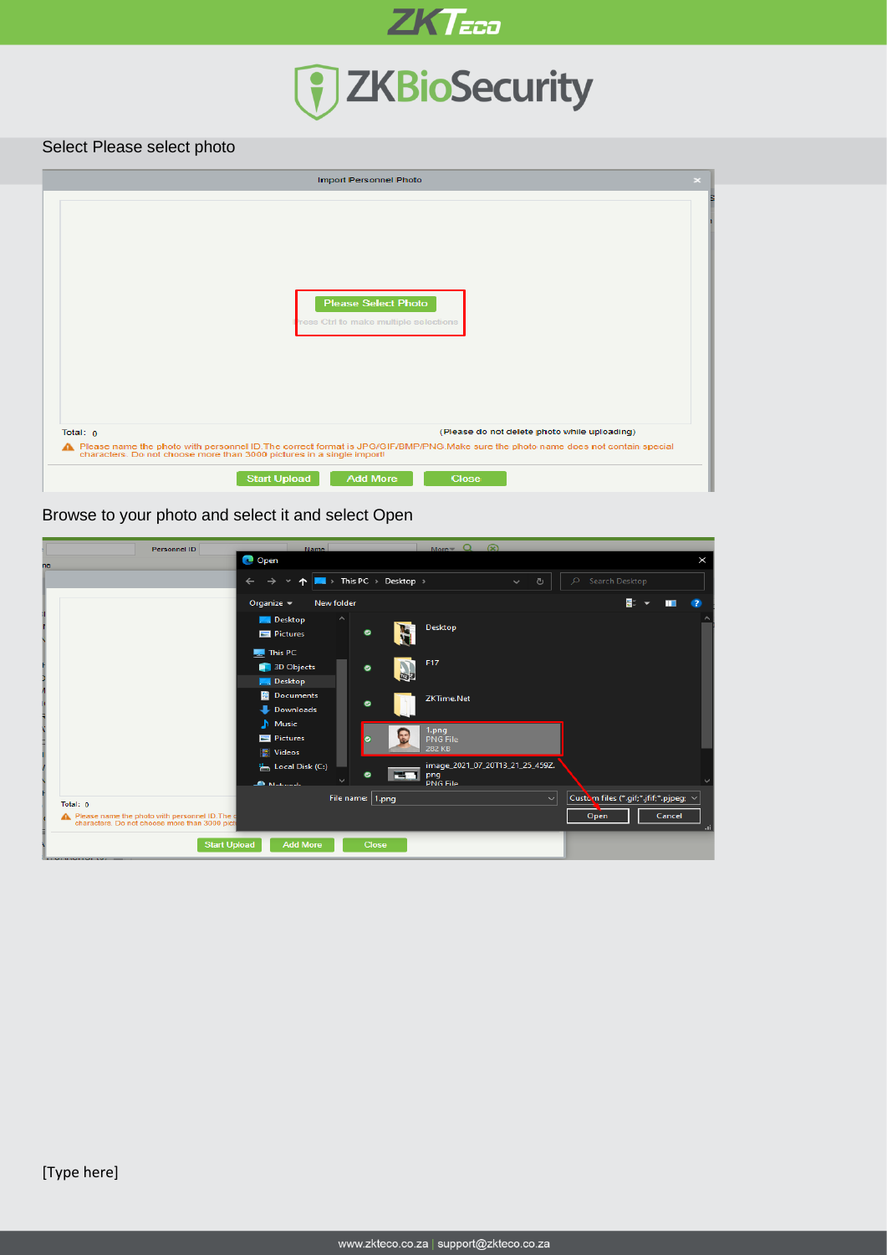

# **ZKTEED**<br>
THE TERRY OF THE TERRY

#### Select Please select photo

|            | <b>Import Personnel Photo</b>                                                                                                                                                                                |
|------------|--------------------------------------------------------------------------------------------------------------------------------------------------------------------------------------------------------------|
|            | <b>Please Select Photo</b><br>ress Ctrl to make multiple selections                                                                                                                                          |
| Total: $0$ | (Please do not delete photo while uploading)                                                                                                                                                                 |
|            | A Please name the photo with personnel ID. The correct format is JPG/GIF/BMP/PNG. Make sure the photo name does not contain special<br>characters. Do not choose more than 3000 pictures in a single import! |
|            | <b>Start Upload</b><br><b>Add More</b><br><b>Close</b>                                                                                                                                                       |

#### Browse to your photo and select it and select Open

| Personnel ID                                                                                                | <b>Name</b>                                              | $More - Q$                                                  | $\circledR$                     |                                                                                |
|-------------------------------------------------------------------------------------------------------------|----------------------------------------------------------|-------------------------------------------------------------|---------------------------------|--------------------------------------------------------------------------------|
| ne                                                                                                          | <b>O</b> Open                                            |                                                             |                                 | $\times$                                                                       |
|                                                                                                             |                                                          | $\blacksquare$ > This PC > Desktop >                        | $\circ$<br>Ō<br>$\checkmark$    | Search Desktop                                                                 |
|                                                                                                             | New folder<br>Organize $\sim$                            |                                                             |                                 | 81<br>- 2                                                                      |
|                                                                                                             | $\hat{\phantom{a}}$<br><b>Desktop</b><br>Pictures        | Desktop<br>$\bullet$                                        |                                 |                                                                                |
|                                                                                                             | This PC<br>3D Objects<br><b>Desktop</b>                  | F17<br>$\bullet$<br>画                                       |                                 |                                                                                |
|                                                                                                             | <b>Documents</b><br>Downloads<br>$M$ Music               | <b>ZKTime.Net</b><br>$\bullet$                              |                                 |                                                                                |
|                                                                                                             | $\blacksquare$ Pictures<br><b>Wideos</b>                 | 1.png<br>E<br>$\bullet$<br><b>PNG File</b><br><b>282 KB</b> |                                 |                                                                                |
|                                                                                                             | <sup>12</sup> <sub>3</sub> Local Disk (C:)<br>A Mohamede | m<br>$\bullet$<br>png<br><b>PNG File</b>                    | image_2021_07_20T13_21_25_459Z. |                                                                                |
| Total: 0<br>Please name the photo with personnel ID. The o<br>characters. Do not choose more than 3000 pict |                                                          | File name: 1.png                                            | $\sim$                          | Custom files (*.gif;*.jfif;*.pjpeg; $\vee$<br>Cancel<br>Open<br>$\mathbb{H}^1$ |
| <b>Construction Construction Construction Construction Construction Construction</b>                        | <b>Start Upload</b><br><b>Add More</b>                   | <b>Close</b>                                                |                                 |                                                                                |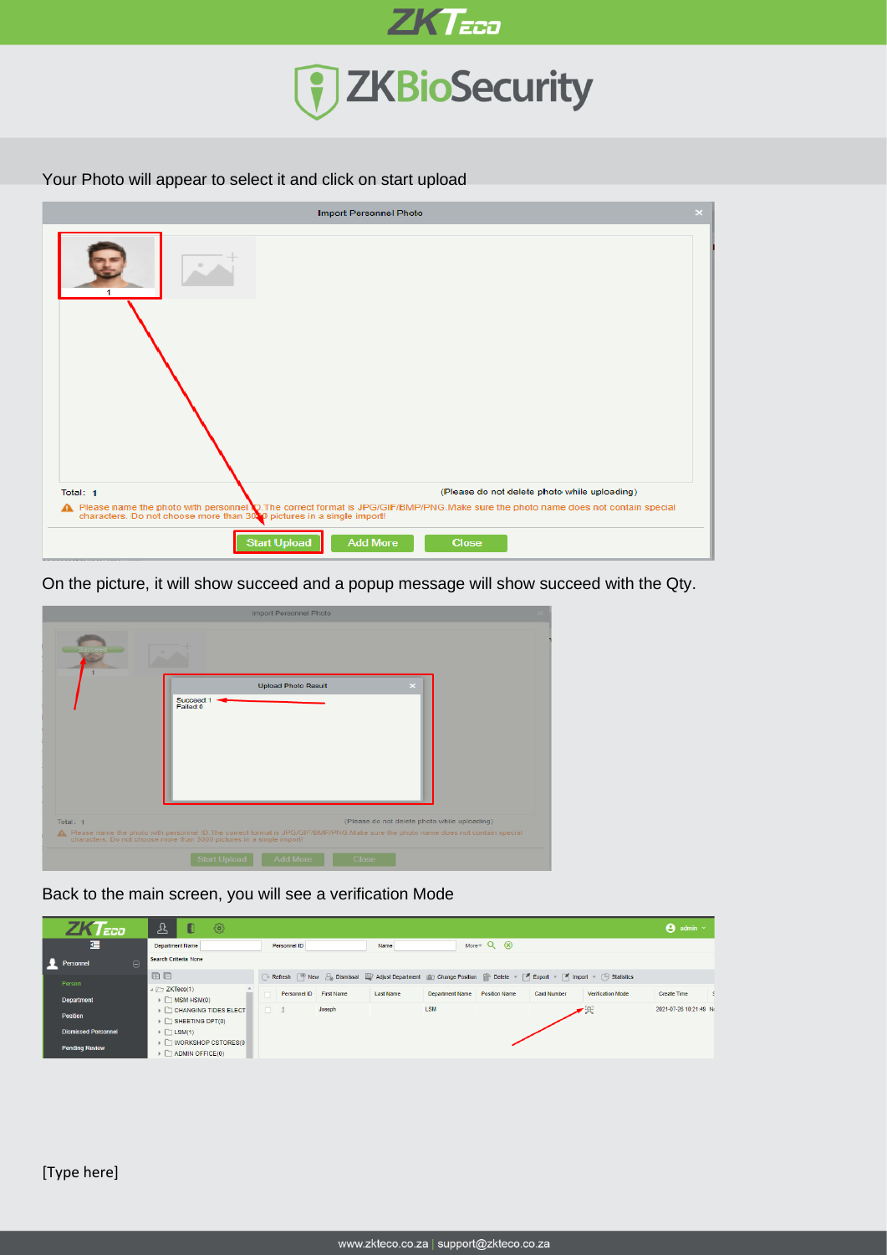

#### Your Photo will appear to select it and click on start upload

| <b>Import Personnel Photo</b>                                                                                                                                                                         | × |
|-------------------------------------------------------------------------------------------------------------------------------------------------------------------------------------------------------|---|
|                                                                                                                                                                                                       |   |
|                                                                                                                                                                                                       |   |
| (Please do not delete photo while uploading)<br>Total: 1                                                                                                                                              |   |
| ↑ Please name the photo with personnel ©.The correct format is JPG/GIF/BMP/PNG.Make sure the photo name does not contain special characters. Do not choose more than 300 pictures in a single import! |   |
| <b>Start Upload</b><br><b>Add More</b><br><b>Close</b>                                                                                                                                                |   |

On the picture, it will show succeed and a popup message will show succeed with the Qty.

|          | Import Personnel Photo                                                                                                                                                                                       |  |
|----------|--------------------------------------------------------------------------------------------------------------------------------------------------------------------------------------------------------------|--|
|          |                                                                                                                                                                                                              |  |
|          | <b>Upload Photo Result</b>                                                                                                                                                                                   |  |
|          | Succeed:1<br>Failed:0                                                                                                                                                                                        |  |
|          |                                                                                                                                                                                                              |  |
|          |                                                                                                                                                                                                              |  |
|          |                                                                                                                                                                                                              |  |
|          |                                                                                                                                                                                                              |  |
|          |                                                                                                                                                                                                              |  |
|          |                                                                                                                                                                                                              |  |
| Total: 1 | (Please do not delete photo while uploading)                                                                                                                                                                 |  |
|          | A Please name the photo with personnel ID. The correct format is JPG/GIF/BMP/PNG. Make sure the photo name does not contain special<br>characters. Do not choose more than 3000 pictures in a single import! |  |
|          | <b>Add More</b><br><b>Start Upload</b><br><b>Close</b>                                                                                                                                                       |  |

Back to the main screen, you will see a verification Mode

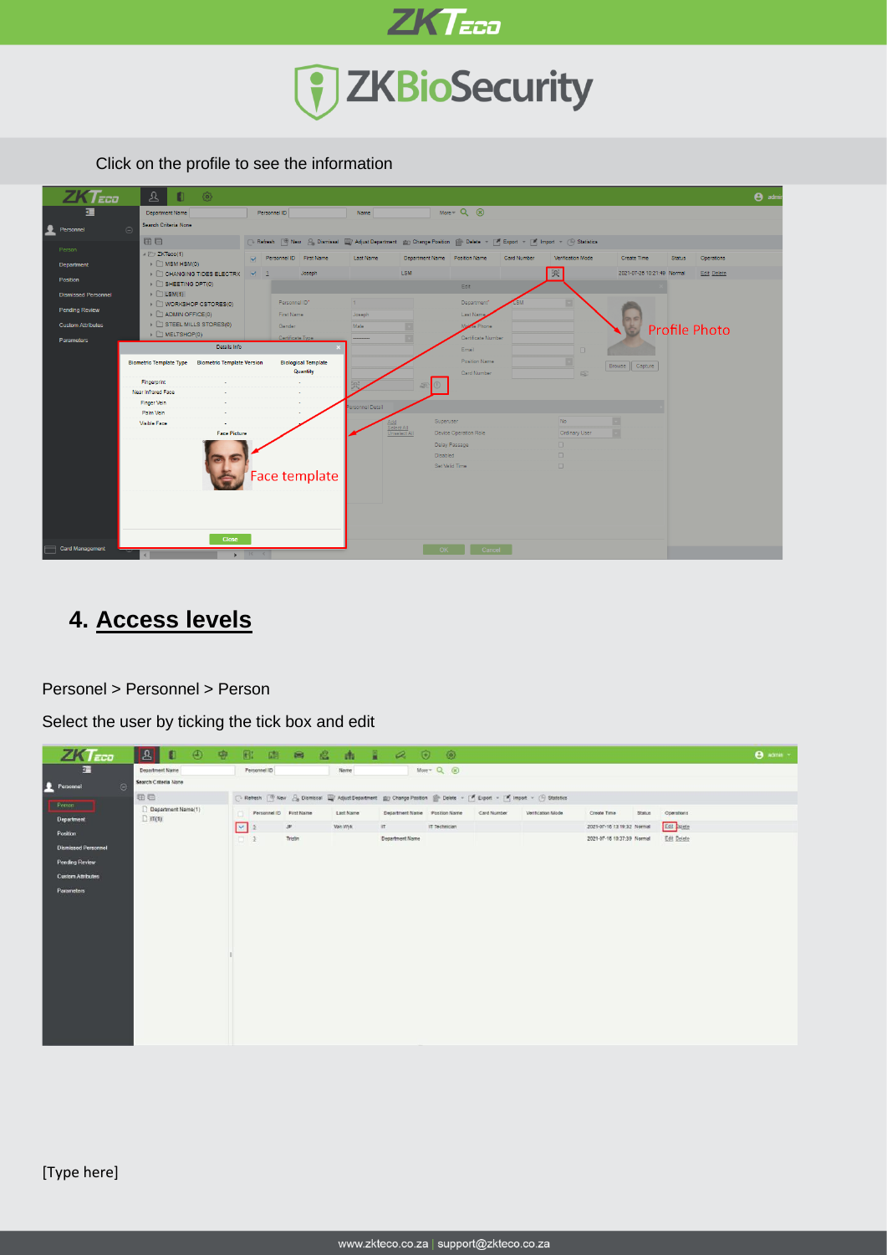

Click on the profile to see the information



# **4. Access levels**

Personel > Personnel > Person

Select the user by ticking the tick box and edit

| $ZKT$ <sub>ECO</sub>       |          | $\boxed{2}$<br>$\bullet$<br>中        | $\Box$<br>面             | ■ 名      |           | 南昌区<br>$\odot$                | $\circ$                 |             |                                                                                                                                                                             |                            |        |             | <b>B</b> admin - |
|----------------------------|----------|--------------------------------------|-------------------------|----------|-----------|-------------------------------|-------------------------|-------------|-----------------------------------------------------------------------------------------------------------------------------------------------------------------------------|----------------------------|--------|-------------|------------------|
| 彊                          |          | Department Name                      | Personnel ID            |          | Name      |                               | $More - Q \circledcirc$ |             |                                                                                                                                                                             |                            |        |             |                  |
| Personnel                  | $\Theta$ | Search Criteria None                 |                         |          |           |                               |                         |             |                                                                                                                                                                             |                            |        |             |                  |
| Person                     |          | <b>BB</b>                            |                         |          |           |                               |                         |             | □ Refresh   <sup>图</sup> New 2 <sub>9</sub> Damasal   Adjust Department   血 Change Position   图 Delete · [ <sup>3</sup> ] Export · [ <sup>3</sup> ] Import · (5) Statistics |                            |        |             |                  |
|                            |          | C Department Name(1)<br>$\Box$ in(i) | Personnel ID First Name |          | Last Name | Department Name Position Name |                         | Card Number | Ventication Mode                                                                                                                                                            | Create Time                | Status | Operations  |                  |
| Department                 |          |                                      | ⊡<br>泛                  | $\rm JF$ | Van Wyk   | IT.                           | IT Technician           |             |                                                                                                                                                                             | 2021-07-16 13:19:32 Normal |        | Edit stete  |                  |
| Position                   |          |                                      | $-1$                    | Tristin  |           | Department Name               |                         |             |                                                                                                                                                                             | 2021-07-16 10:37:39 Normal |        | Edit Delete |                  |
| <b>Dismissed Personnel</b> |          |                                      |                         |          |           |                               |                         |             |                                                                                                                                                                             |                            |        |             |                  |
| <b>Pending Review</b>      |          |                                      |                         |          |           |                               |                         |             |                                                                                                                                                                             |                            |        |             |                  |
| <b>Custom Attributes</b>   |          |                                      |                         |          |           |                               |                         |             |                                                                                                                                                                             |                            |        |             |                  |
| <b>Parameters</b>          |          |                                      |                         |          |           |                               |                         |             |                                                                                                                                                                             |                            |        |             |                  |
|                            |          |                                      |                         |          |           |                               |                         |             |                                                                                                                                                                             |                            |        |             |                  |
|                            |          |                                      |                         |          |           |                               |                         |             |                                                                                                                                                                             |                            |        |             |                  |
|                            |          |                                      |                         |          |           |                               |                         |             |                                                                                                                                                                             |                            |        |             |                  |
|                            |          |                                      |                         |          |           |                               |                         |             |                                                                                                                                                                             |                            |        |             |                  |
|                            |          |                                      |                         |          |           |                               |                         |             |                                                                                                                                                                             |                            |        |             |                  |
|                            |          |                                      |                         |          |           |                               |                         |             |                                                                                                                                                                             |                            |        |             |                  |
|                            |          |                                      |                         |          |           |                               |                         |             |                                                                                                                                                                             |                            |        |             |                  |
|                            |          |                                      |                         |          |           |                               |                         |             |                                                                                                                                                                             |                            |        |             |                  |
|                            |          |                                      |                         |          |           |                               |                         |             |                                                                                                                                                                             |                            |        |             |                  |
|                            |          |                                      |                         |          |           |                               |                         |             |                                                                                                                                                                             |                            |        |             |                  |
|                            |          |                                      |                         |          |           |                               |                         |             |                                                                                                                                                                             |                            |        |             |                  |